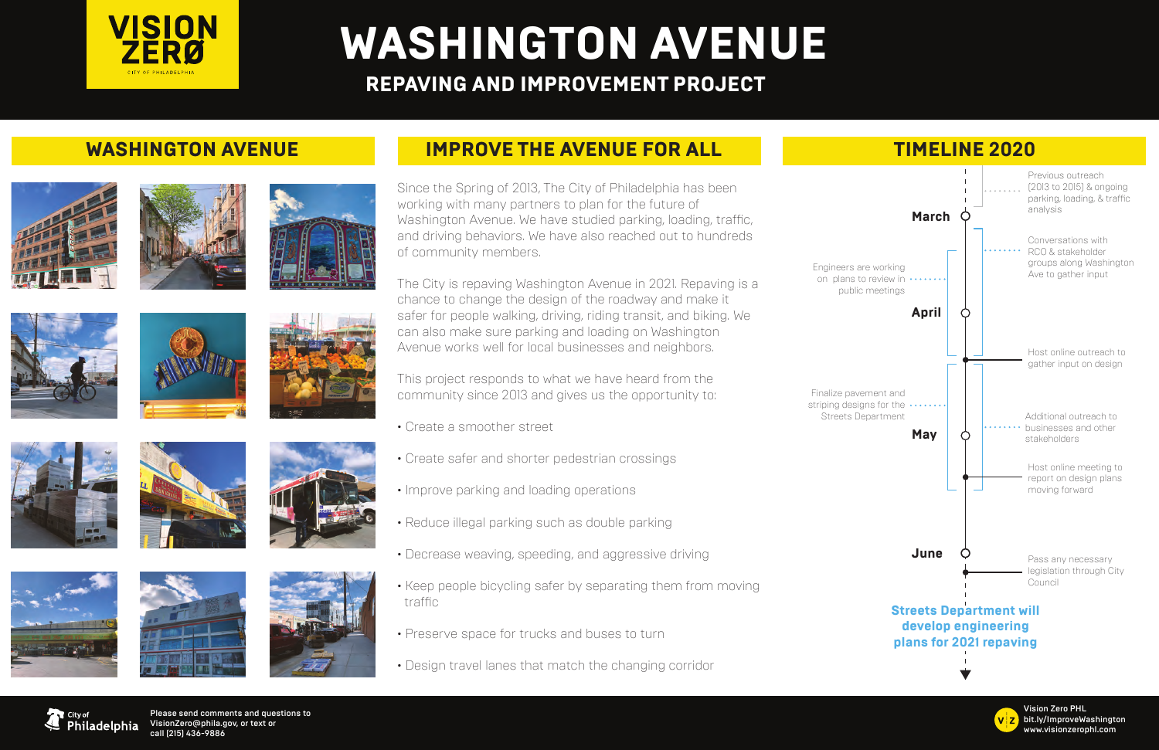Please send comments and questions to VisionZero@phila.gov, or text or call (215) 436-9886

Vision Zero PHL bit.ly/ImproveWashington www.visionzerophl.com

Since the Spring of 2013, The City of Philadelphia has been working with many partners to plan for the future of Washington Avenue. We have studied parking, loading, traffic, and driving behaviors. We have also reached out to hundreds of community members.

The City is repaving Washington Avenue in 2021. Repaving is a chance to change the design of the roadway and make it safer for people walking, driving, riding transit, and biking. We can also make sure parking and loading on Washington Avenue works well for local businesses and neighbors.

This project responds to what we have heard from the community since 2013 and gives us the opportunity to:

- Create a smoother street
- Create safer and shorter pedestrian crossings
- Improve parking and loading operations
- Reduce illegal parking such as double parking
- Decrease weaving, speeding, and aggressive driving
- Keep people bicycling safer by separating them from moving traffic
- Preserve space for trucks and buses to turn
- Design travel lanes that match the changing corridor















### **WASHINGTON AVENUE IMPROVE THE AVENUE FOR ALL**













# **WASHINGTON AVENUE**

## **REPAVING AND IMPROVEMENT PROJECT**